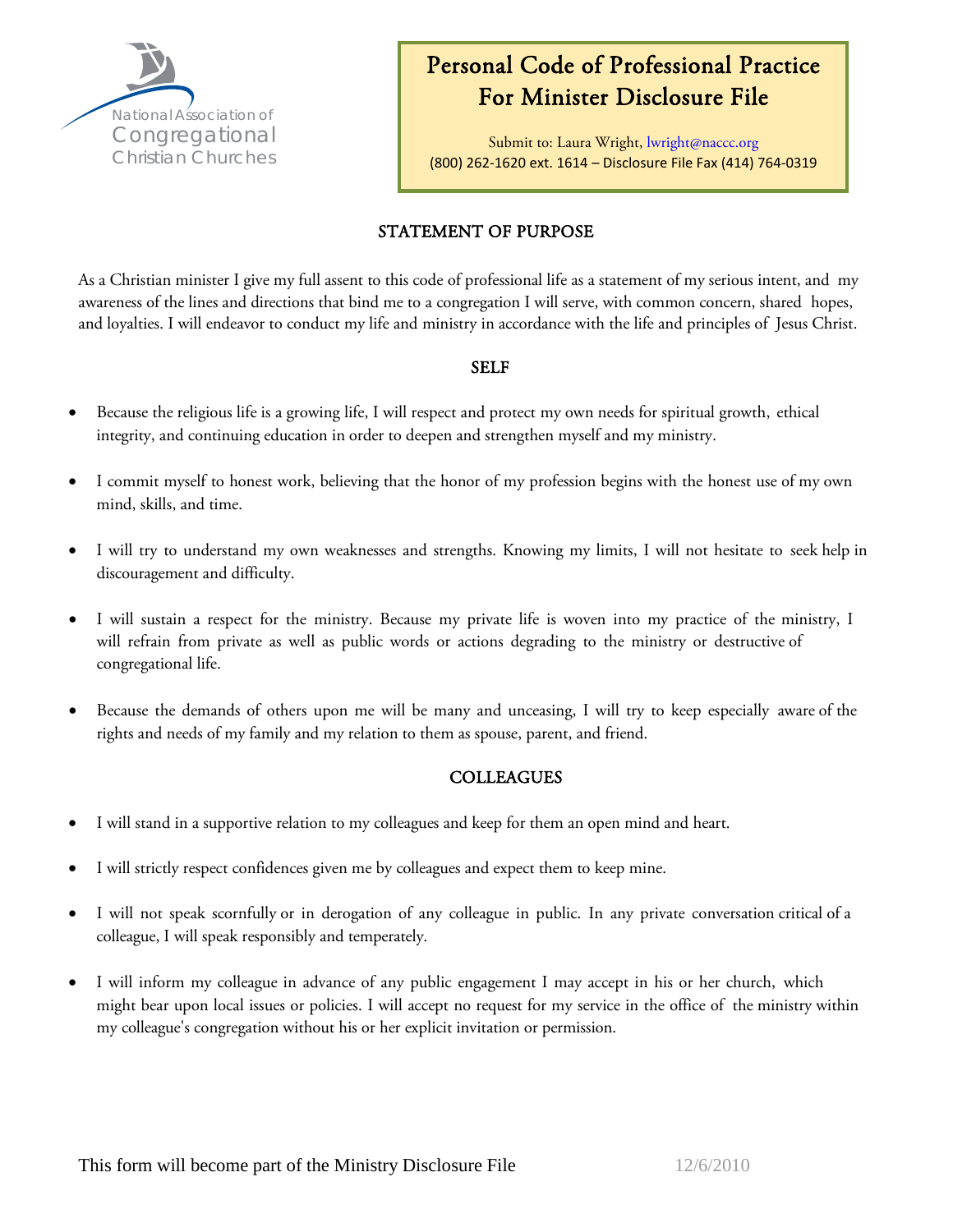

# Personal Code of Professional Practice For Minister Disclosure File

Submit to: Laura Wright, lwright[@naccc.org](mailto:lwright@naccc.org)  (800) 262-1620 ext. 1614 – Disclosure File Fax (414) 764-0319

# STATEMENT OF PURPOSE

As a Christian minister I give my full assent to this code of professional life as a statement of my serious intent, and my awareness of the lines and directions that bind me to a congregation I will serve, with common concern, shared hopes, and loyalties. I will endeavor to conduct my life and ministry in accordance with the life and principles of Jesus Christ.

#### SELF

- Because the religious life is a growing life, I will respect and protect my own needs for spiritual growth, ethical integrity, and continuing education in order to deepen and strengthen myself and my ministry.
- I commit myself to honest work, believing that the honor of my profession begins with the honest use of my own mind, skills, and time.
- I will try to understand my own weaknesses and strengths. Knowing my limits, I will not hesitate to seek help in discouragement and difficulty.
- I will sustain a respect for the ministry. Because my private life is woven into my practice of the ministry, I will refrain from private as well as public words or actions degrading to the ministry or destructive of congregational life.
- Because the demands of others upon me will be many and unceasing, I will try to keep especially aware of the rights and needs of my family and my relation to them as spouse, parent, and friend.

#### **COLLEAGUES**

- I will stand in a supportive relation to my colleagues and keep for them an open mind and heart.
- I will strictly respect confidences given me by colleagues and expect them to keep mine.
- I will not speak scornfully or in derogation of any colleague in public. In any private conversation critical of a colleague, I will speak responsibly and temperately.
- I will inform my colleague in advance of any public engagement I may accept in his or her church, which might bear upon local issues or policies. I will accept no request for my service in the office of the ministry within my colleague's congregation without his or her explicit invitation or permission.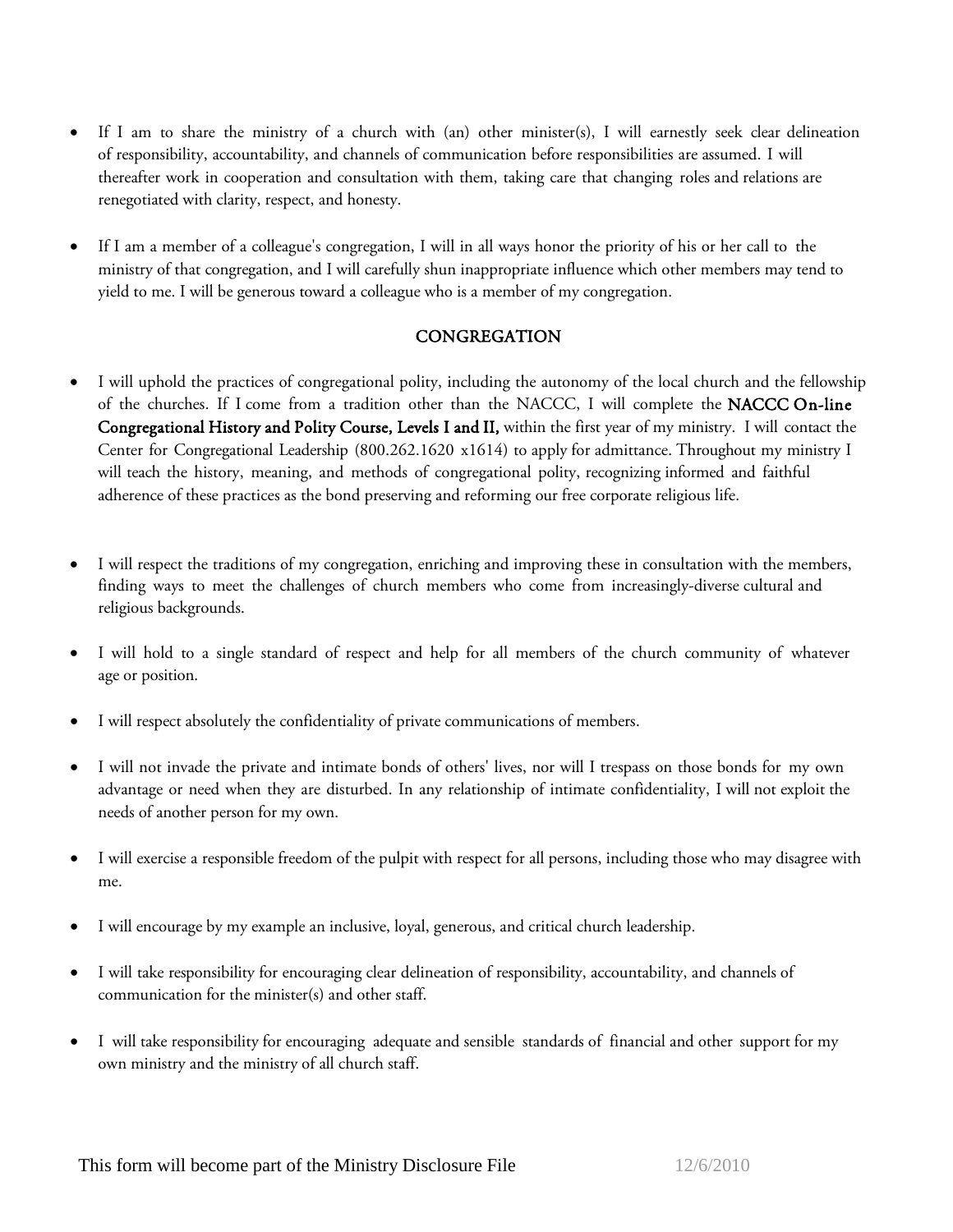- If I am to share the ministry of a church with (an) other minister(s), I will earnestly seek clear delineation of responsibility, accountability, and channels of communication before responsibilities are assumed. I will thereafter work in cooperation and consultation with them, taking care that changing roles and relations are renegotiated with clarity, respect, and honesty.
- If I am a member of a colleague's congregation, I will in all ways honor the priority of his or her call to the ministry of that congregation, and I will carefully shun inappropriate influence which other members may tend to yield to me. I will be generous toward a colleague who is a member of my congregation.

## **CONGREGATION**

- I will uphold the practices of congregational polity, including the autonomy of the local church and the fellowship of the churches. If I come from a tradition other than the NACCC, I will complete the NACCC On-line Congregational History and Polity Course, Levels I and II, within the first year of my ministry. I will contact the Center for Congregational Leadership (80[0.262.1620 x161](mailto:(bmauro@naccc.org)4) to apply for admittance. Throughout my ministry I will teach the history, meaning, and methods of congregational polity, recognizing informed and faithful adherence of these practices as the bond preserving and reforming our free corporate religious life.
- I will respect the traditions of my congregation, enriching and improving these in consultation with the members, finding ways to meet the challenges of church members who come from increasingly-diverse cultural and religious backgrounds.
- I will hold to a single standard of respect and help for all members of the church community of whatever age or position.
- I will respect absolutely the confidentiality of private communications of members.
- I will not invade the private and intimate bonds of others' lives, nor will I trespass on those bonds for my own advantage or need when they are disturbed. In any relationship of intimate confidentiality, I will not exploit the needs of another person for my own.
- I will exercise a responsible freedom of the pulpit with respect for all persons, including those who may disagree with me.
- I will encourage by my example an inclusive, loyal, generous, and critical church leadership.
- I will take responsibility for encouraging clear delineation of responsibility, accountability, and channels of communication for the minister(s) and other staff.
- I will take responsibility for encouraging adequate and sensible standards of financial and other support for my own ministry and the ministry of all church staff.